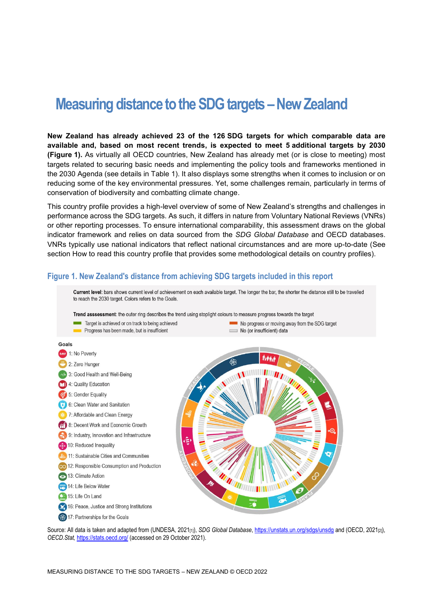# **Measuring distance to the SDG targets –New Zealand**

**New Zealand has already achieved 23 of the 126 SDG targets for which comparable data are available and, based on most recent trends, is expected to meet 5 additional targets by 2030 [\(Figure](#page-0-0) 1).** As virtually all OECD countries, New Zealand has already met (or is close to meeting) most targets related to securing basic needs and implementing the policy tools and frameworks mentioned in the 2030 Agenda (see details in [Table](#page-3-0) 1). It also displays some strengths when it comes to inclusion or on reducing some of the key environmental pressures. Yet, some challenges remain, particularly in terms of conservation of biodiversity and combatting climate change.

This country profile provides a high-level overview of some of New Zealand's strengths and challenges in performance across the SDG targets. As such, it differs in nature from Voluntary National Reviews (VNRs) or other reporting processes. To ensure international comparability, this assessment draws on the global indicator framework and relies on data sourced from the *SDG Global Database* and OECD databases. VNRs typically use national indicators that reflect national circumstances and are more up-to-date (See section [How to read this](#page-7-0) country profile that provides some methodological details on country profiles).

## <span id="page-0-0"></span>**Figure 1. New Zealand's distance from achieving SDG targets included in this report**



Source: All data is taken and adapted from (UNDESA, 2021<sub>[1]</sub>), *SDG Global Database*[, https://unstats.un.org/sdgs/unsdg](https://unstats.un.org/sdgs/unsdg) and (OECD, 2021<sub>[2]</sub>), *OECD.Stat,* <https://stats.oecd.org/> (accessed on 29 October 2021).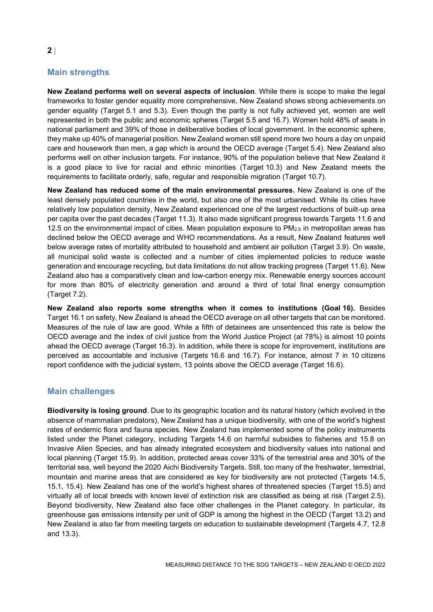# **Main strengths**

**New Zealand performs well on several aspects of inclusion**. While there is scope to make the legal frameworks to foster gender equality more comprehensive, New Zealand shows strong achievements on gender equality (Target 5.1 and 5.3). Even though the parity is not fully achieved yet, women are well represented in both the public and economic spheres (Target 5.5 and 16.7). Women hold 48% of seats in national parliament and 39% of those in deliberative bodies of local government. In the economic sphere, they make up 40% of managerial position. New Zealand women still spend more two hours a day on unpaid care and housework than men, a gap which is around the OECD average (Target 5.4). New Zealand also performs well on other inclusion targets. For instance, 90% of the population believe that New Zealand it is a good place to live for racial and ethnic minorities (Target 10.3) and New Zealand meets the requirements to facilitate orderly, safe, regular and responsible migration (Target 10.7).

**New Zealand has reduced some of the main environmental pressures.** New Zealand is one of the least densely populated countries in the world, but also one of the most urbanised. While its cities have relatively low population density, New Zealand experienced one of the largest reductions of built-up area per capita over the past decades (Target 11.3). It also made significant progress towards Targets 11.6 and 12.5 on the environmental impact of cities. Mean population exposure to PM2.5 in metropolitan areas has declined below the OECD average and WHO recommendations. As a result, New Zealand features well below average rates of mortality attributed to household and ambient air pollution (Target 3.9). On waste, all municipal solid waste is collected and a number of cities implemented policies to reduce waste generation and encourage recycling, but data limitations do not allow tracking progress (Target 11.6). New Zealand also has a comparatively clean and low-carbon energy mix. Renewable energy sources account for more than 80% of electricity generation and around a third of total final energy consumption (Target 7.2).

**New Zealand also reports some strengths when it comes to institutions (Goal 16).** Besides Target 16.1 on safety, New Zealand is ahead the OECD average on all other targets that can be monitored. Measures of the rule of law are good. While a fifth of detainees are unsentenced this rate is below the OECD average and the index of civil justice from the World Justice Project (at 78%) is almost 10 points ahead the OECD average (Target 16.3). In addition, while there is scope for improvement, institutions are perceived as accountable and inclusive (Targets 16.6 and 16.7). For instance, almost 7 in 10 citizens report confidence with the judicial system, 13 points above the OECD average (Target 16.6).

## **Main challenges**

**Biodiversity is losing ground**. Due to its geographic location and its natural history (which evolved in the absence of mammalian predators), New Zealand has a unique biodiversity, with one of the world's highest rates of endemic flora and fauna species. New Zealand has implemented some of the policy instruments listed under the Planet category, including Targets 14.6 on harmful subsidies to fisheries and 15.8 on Invasive Alien Species, and has already integrated ecosystem and biodiversity values into national and local planning (Target 15.9). In addition, protected areas cover 33% of the terrestrial area and 30% of the territorial sea, well beyond the 2020 Aichi Biodiversity Targets. Still, too many of the freshwater, terrestrial, mountain and marine areas that are considered as key for biodiversity are not protected (Targets 14.5, 15.1, 15.4). New Zealand has one of the world's highest shares of threatened species (Target 15.5) and virtually all of local breeds with known level of extinction risk are classified as being at risk (Target 2.5). Beyond biodiversity, New Zealand also face other challenges in the Planet category. In particular, its greenhouse gas emissions intensity per unit of GDP is among the highest in the OECD (Target 13.2) and New Zealand is also far from meeting targets on education to sustainable development (Targets 4.7, 12.8 and 13.3).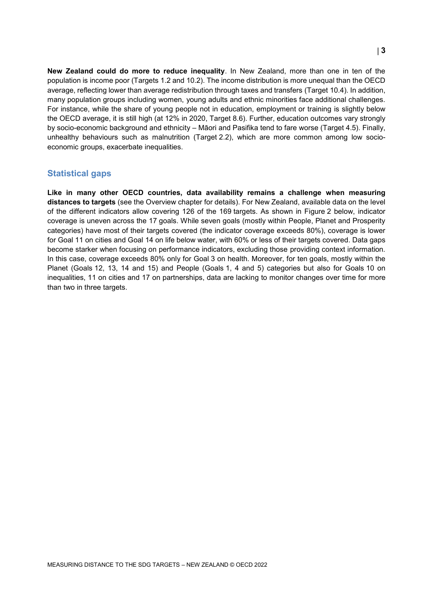**New Zealand could do more to reduce inequality**. In New Zealand, more than one in ten of the population is income poor (Targets 1.2 and 10.2). The income distribution is more unequal than the OECD average, reflecting lower than average redistribution through taxes and transfers (Target 10.4). In addition, many population groups including women, young adults and ethnic minorities face additional challenges. For instance, while the share of young people not in education, employment or training is slightly below the OECD average, it is still high (at 12% in 2020, Target 8.6). Further, education outcomes vary strongly by socio-economic background and ethnicity – Māori and Pasifika tend to fare worse (Target 4.5). Finally, unhealthy behaviours such as malnutrition (Target 2.2), which are more common among low socioeconomic groups, exacerbate inequalities.

## **Statistical gaps**

**Like in many other OECD countries, data availability remains a challenge when measuring distances to targets** (see the Overview chapter for details). For New Zealand, available data on the level of the different indicators allow covering 126 of the 169 targets. As shown in [Figure](#page-3-1) 2 below, indicator coverage is uneven across the 17 goals. While seven goals (mostly within People, Planet and Prosperity categories) have most of their targets covered (the indicator coverage exceeds 80%), coverage is lower for Goal 11 on cities and Goal 14 on life below water, with 60% or less of their targets covered. Data gaps become starker when focusing on performance indicators, excluding those providing context information. In this case, coverage exceeds 80% only for Goal 3 on health. Moreover, for ten goals, mostly within the Planet (Goals 12, 13, 14 and 15) and People (Goals 1, 4 and 5) categories but also for Goals 10 on inequalities, 11 on cities and 17 on partnerships, data are lacking to monitor changes over time for more than two in three targets.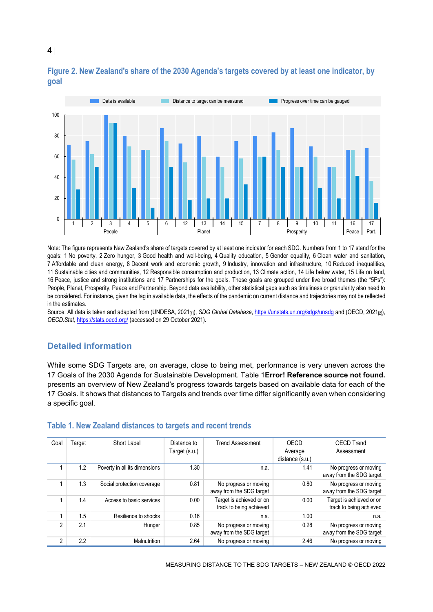

# <span id="page-3-1"></span>**Figure 2. New Zealand's share of the 2030 Agenda's targets covered by at least one indicator, by goal**

Note: The figure represents New Zealand's share of targets covered by at least one indicator for each SDG. Numbers from 1 to 17 stand for the goals: 1 No poverty, 2 Zero hunger, 3 Good health and well-being, 4 Quality education, 5 Gender equality, 6 Clean water and sanitation, 7 Affordable and clean energy, 8 Decent work and economic growth, 9 Industry, innovation and infrastructure, 10 Reduced inequalities, 11 Sustainable cities and communities, 12 Responsible consumption and production, 13 Climate action, 14 Life below water, 15 Life on land, 16 Peace, justice and strong institutions and 17 Partnerships for the goals. These goals are grouped under five broad themes (the "5Ps"): People, Planet, Prosperity, Peace and Partnership. Beyond data availability, other statistical gaps such as timeliness or granularity also need to be considered. For instance, given the lag in available data, the effects of the pandemic on current distance and trajectories may not be reflected in the estimates.

Source: All data is taken and adapted from (UNDESA, 2021<sub>[1]</sub>), *SDG Global Database*[, https://unstats.un.org/sdgs/unsdg](https://unstats.un.org/sdgs/unsdg) and (OECD, 2021<sub>[2]</sub>), *OECD.Stat,* <https://stats.oecd.org/> (accessed on 29 October 2021).

# **Detailed information**

While some SDG Targets are, on average, close to being met, performance is very uneven across the 17 Goals of the 2030 Agenda for Sustainable Development. [Table](#page-3-0) 1**[Error! Reference source not found.](#page-3-0)** presents an overview of New Zealand's progress towards targets based on available data for each of the 17 Goals. It shows that distances to Targets and trends over time differ significantly even when considering a specific goal.

| Goal | Гarget | Short Label                   | Distance to   | <b>Trend Assessment</b>                             | OECD            | <b>OECD Trend</b>                                   |
|------|--------|-------------------------------|---------------|-----------------------------------------------------|-----------------|-----------------------------------------------------|
|      |        |                               | Target (s.u.) |                                                     | Average         | Assessment                                          |
|      |        |                               |               |                                                     | distance (s.u.) |                                                     |
|      | 1.2    | Poverty in all its dimensions | 1.30          | n.a.                                                | 1.41            | No progress or moving<br>away from the SDG target   |
|      | 1.3    | Social protection coverage    | 0.81          | No progress or moving<br>away from the SDG target   | 0.80            | No progress or moving<br>away from the SDG target   |
|      | 1.4    | Access to basic services      | 0.00          | Target is achieved or on<br>track to being achieved | 0.00            | Target is achieved or on<br>track to being achieved |
|      | 1.5    | Resilience to shocks          | 0.16          | n.a.                                                | 1.00            | n.a.                                                |
| 2    | 2.1    | Hunger                        | 0.85          | No progress or moving<br>away from the SDG target   | 0.28            | No progress or moving<br>away from the SDG target   |
| 2    | 2.2    | Malnutrition                  | 2.64          | No progress or moving                               | 2.46            | No progress or moving                               |

#### <span id="page-3-0"></span>**Table 1. New Zealand distances to targets and recent trends**

## **4**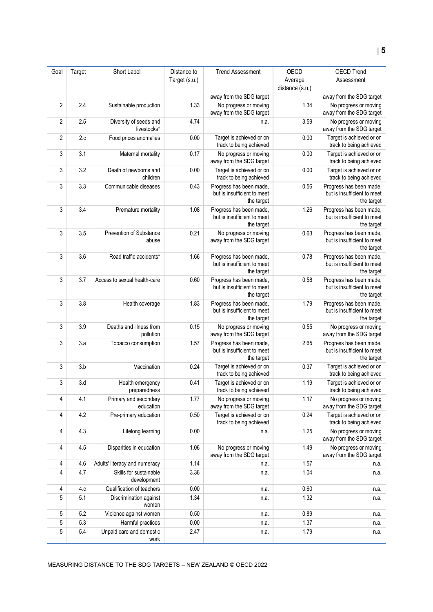| Goal           | Target | Short Label                           | Distance to   | <b>Trend Assessment</b>                                              | OECD                       | <b>OECD Trend</b>                                                    |
|----------------|--------|---------------------------------------|---------------|----------------------------------------------------------------------|----------------------------|----------------------------------------------------------------------|
|                |        |                                       | Target (s.u.) |                                                                      | Average<br>distance (s.u.) | Assessment                                                           |
|                |        |                                       |               | away from the SDG target                                             |                            | away from the SDG target                                             |
| $\overline{2}$ | 2.4    | Sustainable production                | 1.33          | No progress or moving<br>away from the SDG target                    | 1.34                       | No progress or moving<br>away from the SDG target                    |
| $\overline{2}$ | 2.5    | Diversity of seeds and<br>livestocks* | 4.74          | n.a.                                                                 | 3.59                       | No progress or moving<br>away from the SDG target                    |
| $\overline{2}$ | 2.c    | Food prices anomalies                 | 0.00          | Target is achieved or on<br>track to being achieved                  | 0.00                       | Target is achieved or on<br>track to being achieved                  |
| 3              | 3.1    | Maternal mortality                    | 0.17          | No progress or moving<br>away from the SDG target                    | 0.00                       | Target is achieved or on<br>track to being achieved                  |
| 3              | 3.2    | Death of newborns and<br>children     | 0.00          | Target is achieved or on<br>track to being achieved                  | 0.00                       | Target is achieved or on<br>track to being achieved                  |
| 3              | 3.3    | Communicable diseases                 | 0.43          | Progress has been made,<br>but is insufficient to meet<br>the target | 0.56                       | Progress has been made,<br>but is insufficient to meet<br>the target |
| 3              | 3.4    | Premature mortality                   | 1.08          | Progress has been made,<br>but is insufficient to meet<br>the target | 1.26                       | Progress has been made,<br>but is insufficient to meet<br>the target |
| 3              | 3.5    | Prevention of Substance<br>abuse      | 0.21          | No progress or moving<br>away from the SDG target                    | 0.63                       | Progress has been made,<br>but is insufficient to meet<br>the target |
| 3              | 3.6    | Road traffic accidents*               | 1.66          | Progress has been made,<br>but is insufficient to meet<br>the target | 0.78                       | Progress has been made,<br>but is insufficient to meet<br>the target |
| 3              | 3.7    | Access to sexual health-care          | 0.60          | Progress has been made,<br>but is insufficient to meet<br>the target | 0.58                       | Progress has been made,<br>but is insufficient to meet<br>the target |
| 3              | 3.8    | Health coverage                       | 1.83          | Progress has been made,<br>but is insufficient to meet<br>the target | 1.79                       | Progress has been made,<br>but is insufficient to meet<br>the target |
| 3              | 3.9    | Deaths and illness from<br>pollution  | 0.15          | No progress or moving<br>away from the SDG target                    | 0.55                       | No progress or moving<br>away from the SDG target                    |
| 3              | 3.a    | Tobacco consumption                   | 1.57          | Progress has been made,<br>but is insufficient to meet<br>the target | 2.65                       | Progress has been made,<br>but is insufficient to meet<br>the target |
| 3              | 3.b    | Vaccination                           | 0.24          | Target is achieved or on<br>track to being achieved                  | 0.37                       | Target is achieved or on<br>track to being achieved                  |
| 3              | 3.d    | Health emergency<br>preparedness      | 0.41          | Target is achieved or on<br>track to being achieved                  | 1.19                       | Target is achieved or on<br>track to being achieved                  |
| 4              | 4.1    | Primary and secondary<br>education    | 1.77          | No progress or moving<br>away from the SDG target                    | 1.17                       | No progress or moving<br>away from the SDG target                    |
| 4              | 4.2    | Pre-primary education                 | 0.50          | Target is achieved or on<br>track to being achieved                  | 0.24                       | Target is achieved or on<br>track to being achieved                  |
| 4              | 4.3    | Lifelong learning                     | 0.00          | n.a.                                                                 | 1.25                       | No progress or moving<br>away from the SDG target                    |
| 4              | 4.5    | Disparities in education              | 1.06          | No progress or moving<br>away from the SDG target                    | 1.49                       | No progress or moving<br>away from the SDG target                    |
| 4              | 4.6    | Adults' literacy and numeracy         | 1.14          | n.a.                                                                 | 1.57                       | n.a.                                                                 |
| $\overline{4}$ | 4.7    | Skills for sustainable<br>development | 3.36          | n.a.                                                                 | 1.04                       | n.a.                                                                 |
| 4              | 4.c    | Qualification of teachers             | 0.00          | n.a.                                                                 | 0.60                       | n.a.                                                                 |
| 5              | 5.1    | Discrimination against<br>women       | 1.34          | n.a.                                                                 | 1.32                       | n.a.                                                                 |
| 5              | 5.2    | Violence against women                | 0.50          | n.a.                                                                 | 0.89                       | n.a.                                                                 |
| 5              | 5.3    | Harmful practices                     | 0.00          | n.a.                                                                 | 1.37                       | n.a.                                                                 |
| 5              | 5.4    | Unpaid care and domestic<br>work      | 2.47          | n.a.                                                                 | 1.79                       | n.a.                                                                 |

MEASURING DISTANCE TO THE SDG TARGETS – NEW ZEALAND © OECD 2022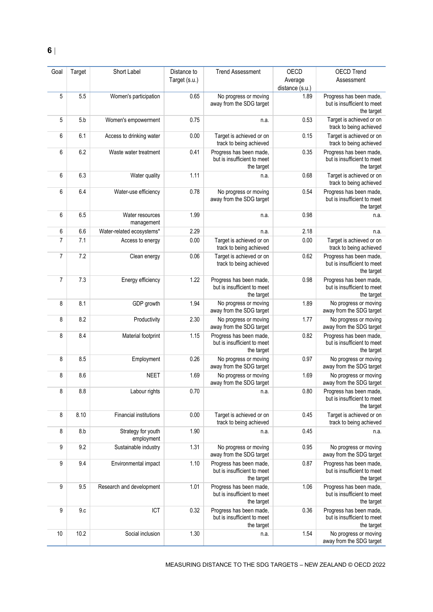| Goal           | Target | Short Label                      | Distance to   | <b>Trend Assessment</b>                                              | OECD            | <b>OECD Trend</b>                                                    |
|----------------|--------|----------------------------------|---------------|----------------------------------------------------------------------|-----------------|----------------------------------------------------------------------|
|                |        |                                  | Target (s.u.) |                                                                      | Average         | Assessment                                                           |
|                |        |                                  |               |                                                                      | distance (s.u.) |                                                                      |
| 5              | 5.5    | Women's participation            | 0.65          | No progress or moving<br>away from the SDG target                    | 1.89            | Progress has been made,<br>but is insufficient to meet<br>the target |
| 5              | 5.b    | Women's empowerment              | 0.75          | n.a.                                                                 | 0.53            | Target is achieved or on<br>track to being achieved                  |
| 6              | 6.1    | Access to drinking water         | 0.00          | Target is achieved or on<br>track to being achieved                  | 0.15            | Target is achieved or on<br>track to being achieved                  |
| 6              | 6.2    | Waste water treatment            | 0.41          | Progress has been made,<br>but is insufficient to meet<br>the target | 0.35            | Progress has been made,<br>but is insufficient to meet<br>the target |
| 6              | 6.3    | Water quality                    | 1.11          | n.a.                                                                 | 0.68            | Target is achieved or on<br>track to being achieved                  |
| 6              | 6.4    | Water-use efficiency             | 0.78          | No progress or moving<br>away from the SDG target                    | 0.54            | Progress has been made,<br>but is insufficient to meet<br>the target |
| 6              | 6.5    | Water resources<br>management    | 1.99          | n.a.                                                                 | 0.98            | n.a.                                                                 |
| 6              | 6.6    | Water-related ecosystems*        | 2.29          | n.a.                                                                 | 2.18            | n.a.                                                                 |
| $\overline{7}$ | 7.1    | Access to energy                 | 0.00          | Target is achieved or on<br>track to being achieved                  | 0.00            | Target is achieved or on<br>track to being achieved                  |
| 7              | 7.2    | Clean energy                     | 0.06          | Target is achieved or on<br>track to being achieved                  | 0.62            | Progress has been made,<br>but is insufficient to meet<br>the target |
| $\overline{7}$ | 7.3    | Energy efficiency                | 1.22          | Progress has been made,<br>but is insufficient to meet<br>the target | 0.98            | Progress has been made,<br>but is insufficient to meet<br>the target |
| 8              | 8.1    | GDP growth                       | 1.94          | No progress or moving<br>away from the SDG target                    | 1.89            | No progress or moving<br>away from the SDG target                    |
| 8              | 8.2    | Productivity                     | 2.30          | No progress or moving<br>away from the SDG target                    | 1.77            | No progress or moving<br>away from the SDG target                    |
| 8              | 8.4    | Material footprint               | 1.15          | Progress has been made,<br>but is insufficient to meet<br>the target | 0.82            | Progress has been made,<br>but is insufficient to meet<br>the target |
| 8              | 8.5    | Employment                       | 0.26          | No progress or moving<br>away from the SDG target                    | 0.97            | No progress or moving<br>away from the SDG target                    |
| 8              | 8.6    | <b>NEET</b>                      | 1.69          | No progress or moving<br>away from the SDG target                    | 1.69            | No progress or moving<br>away from the SDG target                    |
| 8              | 8.8    | Labour rights                    | 0.70          | n.a.                                                                 | 0.80            | Progress has been made,<br>but is insufficient to meet<br>the target |
| 8              | 8.10   | Financial institutions           | 0.00          | Target is achieved or on<br>track to being achieved                  | 0.45            | Target is achieved or on<br>track to being achieved                  |
| 8              | 8.b    | Strategy for youth<br>employment | 1.90          | n.a.                                                                 | 0.45            | n.a.                                                                 |
| 9              | 9.2    | Sustainable industry             | 1.31          | No progress or moving<br>away from the SDG target                    | 0.95            | No progress or moving<br>away from the SDG target                    |
| 9              | 9.4    | Environmental impact             | 1.10          | Progress has been made,<br>but is insufficient to meet<br>the target | 0.87            | Progress has been made,<br>but is insufficient to meet<br>the target |
| 9              | 9.5    | Research and development         | 1.01          | Progress has been made,<br>but is insufficient to meet<br>the target | 1.06            | Progress has been made,<br>but is insufficient to meet<br>the target |
| 9              | 9.c    | ICT                              | 0.32          | Progress has been made,<br>but is insufficient to meet<br>the target | 0.36            | Progress has been made,<br>but is insufficient to meet<br>the target |
| 10             | 10.2   | Social inclusion                 | 1.30          | n.a.                                                                 | 1.54            | No progress or moving<br>away from the SDG target                    |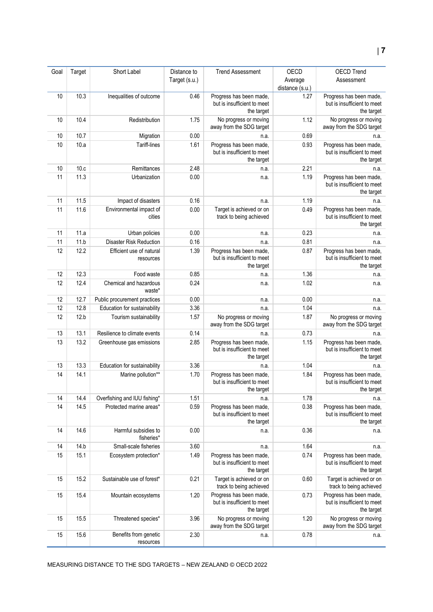| Goal | Target | Short Label                           | Distance to<br>Target (s.u.) | <b>Trend Assessment</b>                                              | OECD<br>Average | <b>OECD Trend</b><br>Assessment                                      |
|------|--------|---------------------------------------|------------------------------|----------------------------------------------------------------------|-----------------|----------------------------------------------------------------------|
|      |        |                                       |                              |                                                                      | distance (s.u.) |                                                                      |
| 10   | 10.3   | Inequalities of outcome               | 0.46                         | Progress has been made,<br>but is insufficient to meet<br>the target | 1.27            | Progress has been made,<br>but is insufficient to meet<br>the target |
| 10   | 10.4   | Redistribution                        | 1.75                         | No progress or moving<br>away from the SDG target                    | 1.12            | No progress or moving<br>away from the SDG target                    |
| 10   | 10.7   | Migration                             | 0.00                         | n.a.                                                                 | 0.69            | n.a.                                                                 |
| 10   | 10.a   | Tariff-lines                          | 1.61                         | Progress has been made,<br>but is insufficient to meet<br>the target | 0.93            | Progress has been made,<br>but is insufficient to meet<br>the target |
| 10   | 10.c   | Remittances                           | 2.48                         | n.a.                                                                 | 2.21            | n.a.                                                                 |
| 11   | 11.3   | Urbanization                          | 0.00                         | n.a.                                                                 | 1.19            | Progress has been made,<br>but is insufficient to meet<br>the target |
| 11   | 11.5   | Impact of disasters                   | 0.16                         | n.a.                                                                 | 1.19            | n.a.                                                                 |
| 11   | 11.6   | Environmental impact of<br>cities     | 0.00                         | Target is achieved or on<br>track to being achieved                  | 0.49            | Progress has been made,<br>but is insufficient to meet<br>the target |
| 11   | 11.a   | Urban policies                        | 0.00                         | n.a.                                                                 | 0.23            | n.a.                                                                 |
| 11   | 11.b   | <b>Disaster Risk Reduction</b>        | 0.16                         | n.a.                                                                 | 0.81            | n.a.                                                                 |
| 12   | 12.2   | Efficient use of natural<br>resources | 1.39                         | Progress has been made,<br>but is insufficient to meet<br>the target | 0.87            | Progress has been made,<br>but is insufficient to meet<br>the target |
| 12   | 12.3   | Food waste                            | 0.85                         | n.a.                                                                 | 1.36            | n.a.                                                                 |
| 12   | 12.4   | Chemical and hazardous<br>waste*      | 0.24                         | n.a.                                                                 | 1.02            | n.a.                                                                 |
| 12   | 12.7   | Public procurement practices          | 0.00                         | n.a.                                                                 | 0.00            | n.a.                                                                 |
| 12   | 12.8   | Education for sustainability          | 3.36                         | n.a.                                                                 | 1.04            | n.a.                                                                 |
| 12   | 12.b   | Tourism sustainability                | 1.57                         | No progress or moving<br>away from the SDG target                    | 1.87            | No progress or moving<br>away from the SDG target                    |
| 13   | 13.1   | Resilience to climate events          | 0.14                         | n.a.                                                                 | 0.73            | n.a.                                                                 |
| 13   | 13.2   | Greenhouse gas emissions              | 2.85                         | Progress has been made,<br>but is insufficient to meet<br>the target | 1.15            | Progress has been made,<br>but is insufficient to meet<br>the target |
| 13   | 13.3   | Education for sustainability          | 3.36                         | n.a.                                                                 | 1.04            | n.a.                                                                 |
| 14   | 14.1   | Marine pollution**                    | 1.70                         | Progress has been made,<br>but is insufficient to meet<br>the target | 1.84            | Progress has been made,<br>but is insufficient to meet<br>the target |
| 14   | 14.4   | Overfishing and IUU fishing*          | 1.51                         | n.a.                                                                 | 1.78            | n.a.                                                                 |
| 14   | 14.5   | Protected marine areas*               | 0.59                         | Progress has been made,<br>but is insufficient to meet<br>the target | 0.38            | Progress has been made,<br>but is insufficient to meet<br>the target |
| 14   | 14.6   | Harmful subsidies to<br>fisheries*    | 0.00                         | n.a.                                                                 | 0.36            | n.a.                                                                 |
| 14   | 14.b   | Small-scale fisheries                 | 3.60                         | n.a.                                                                 | 1.64            | n.a.                                                                 |
| 15   | 15.1   | Ecosystem protection*                 | 1.49                         | Progress has been made,<br>but is insufficient to meet<br>the target | 0.74            | Progress has been made,<br>but is insufficient to meet<br>the target |
| 15   | 15.2   | Sustainable use of forest*            | 0.21                         | Target is achieved or on<br>track to being achieved                  | 0.60            | Target is achieved or on<br>track to being achieved                  |
| 15   | 15.4   | Mountain ecosystems                   | 1.20                         | Progress has been made,<br>but is insufficient to meet<br>the target | 0.73            | Progress has been made,<br>but is insufficient to meet<br>the target |
| 15   | 15.5   | Threatened species*                   | 3.96                         | No progress or moving<br>away from the SDG target                    | 1.20            | No progress or moving<br>away from the SDG target                    |
| 15   | 15.6   | Benefits from genetic<br>resources    | 2.30                         | n.a.                                                                 | 0.78            | n.a.                                                                 |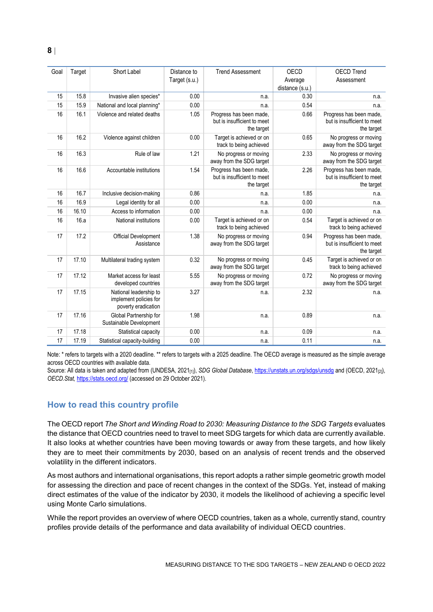| Goal | Target | Short Label                                                             | Distance to<br>Target (s.u.) | <b>Trend Assessment</b>                                              | OECD<br>Average         | <b>OECD Trend</b><br>Assessment                                      |
|------|--------|-------------------------------------------------------------------------|------------------------------|----------------------------------------------------------------------|-------------------------|----------------------------------------------------------------------|
| 15   | 15.8   | Invasive alien species*                                                 | 0.00                         | n.a.                                                                 | distance (s.u.)<br>0.30 | n.a.                                                                 |
| 15   | 15.9   | National and local planning*                                            | 0.00                         | n.a.                                                                 | 0.54                    | n.a.                                                                 |
| 16   | 16.1   | Violence and related deaths                                             | 1.05                         | Progress has been made,<br>but is insufficient to meet<br>the target | 0.66                    | Progress has been made,<br>but is insufficient to meet<br>the target |
| 16   | 16.2   | Violence against children                                               | 0.00                         | Target is achieved or on<br>track to being achieved                  | 0.65                    | No progress or moving<br>away from the SDG target                    |
| 16   | 16.3   | Rule of law                                                             | 1.21                         | No progress or moving<br>away from the SDG target                    | 2.33                    | No progress or moving<br>away from the SDG target                    |
| 16   | 16.6   | Accountable institutions                                                | 1.54                         | Progress has been made,<br>but is insufficient to meet<br>the target | 2.26                    | Progress has been made,<br>but is insufficient to meet<br>the target |
| 16   | 16.7   | Inclusive decision-making                                               | 0.86                         | n.a.                                                                 | 1.85                    | n.a.                                                                 |
| 16   | 16.9   | Legal identity for all                                                  | 0.00                         | n.a.                                                                 | 0.00                    | n.a.                                                                 |
| 16   | 16.10  | Access to information                                                   | 0.00                         | n.a.                                                                 | 0.00                    | n.a.                                                                 |
| 16   | 16.a   | National institutions                                                   | 0.00                         | Target is achieved or on<br>track to being achieved                  | 0.54                    | Target is achieved or on<br>track to being achieved                  |
| 17   | 17.2   | Official Development<br>Assistance                                      | 1.38                         | No progress or moving<br>away from the SDG target                    | 0.94                    | Progress has been made,<br>but is insufficient to meet<br>the target |
| 17   | 17.10  | Multilateral trading system                                             | 0.32                         | No progress or moving<br>away from the SDG target                    | 0.45                    | Target is achieved or on<br>track to being achieved                  |
| 17   | 17.12  | Market access for least<br>developed countries                          | 5.55                         | No progress or moving<br>away from the SDG target                    | 0.72                    | No progress or moving<br>away from the SDG target                    |
| 17   | 17.15  | National leadership to<br>implement policies for<br>poverty eradication | 3.27                         | n.a.                                                                 | 2.32                    | n.a.                                                                 |
| 17   | 17.16  | Global Partnership for<br>Sustainable Development                       | 1.98                         | n.a.                                                                 | 0.89                    | n.a.                                                                 |
| 17   | 17.18  | Statistical capacity                                                    | 0.00                         | n.a.                                                                 | 0.09                    | n.a.                                                                 |
| 17   | 17.19  | Statistical capacity-building                                           | 0.00                         | n.a.                                                                 | 0.11                    | n.a.                                                                 |

Note: \* refers to targets with a 2020 deadline. \*\* refers to targets with a 2025 deadline. The OECD average is measured as the simple average across OECD countries with available data.

Source: All data is taken and adapted from (UNDESA, 2021<sub>[1]</sub>), *SDG Global Database*[, https://unstats.un.org/sdgs/unsdg](https://unstats.un.org/sdgs/unsdg) and (OECD, 2021<sub>[2]</sub>), *OECD.Stat,* <https://stats.oecd.org/> (accessed on 29 October 2021).

# <span id="page-7-0"></span>**How to read this country profile**

The OECD report *The Short and Winding Road to 2030: Measuring Distance to the SDG Targets* evaluates the distance that OECD countries need to travel to meet SDG targets for which data are currently available. It also looks at whether countries have been moving towards or away from these targets, and how likely they are to meet their commitments by 2030, based on an analysis of recent trends and the observed volatility in the different indicators.

As most authors and international organisations, this report adopts a rather simple geometric growth model for assessing the direction and pace of recent changes in the context of the SDGs. Yet, instead of making direct estimates of the value of the indicator by 2030, it models the likelihood of achieving a specific level using Monte Carlo simulations.

While the report provides an overview of where OECD countries, taken as a whole, currently stand, country profiles provide details of the performance and data availability of individual OECD countries.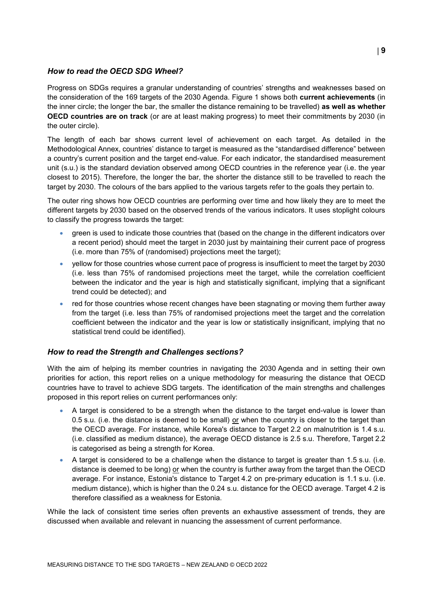## *How to read the OECD SDG Wheel?*

Progress on SDGs requires a granular understanding of countries' strengths and weaknesses based on the consideration of the 169 targets of the 2030 Agenda. [Figure](#page-0-0) 1 shows both **current achievements** (in the inner circle; the longer the bar, the smaller the distance remaining to be travelled) **as well as whether OECD countries are on track** (or are at least making progress) to meet their commitments by 2030 (in the outer circle).

The length of each bar shows current level of achievement on each target. As detailed in the Methodological Annex, countries' distance to target is measured as the "standardised difference" between a country's current position and the target end-value. For each indicator, the standardised measurement unit (s.u.) is the standard deviation observed among OECD countries in the reference year (i.e. the year closest to 2015). Therefore, the longer the bar, the shorter the distance still to be travelled to reach the target by 2030. The colours of the bars applied to the various targets refer to the goals they pertain to.

The outer ring shows how OECD countries are performing over time and how likely they are to meet the different targets by 2030 based on the observed trends of the various indicators. It uses stoplight colours to classify the progress towards the target:

- green is used to indicate those countries that (based on the change in the different indicators over a recent period) should meet the target in 2030 just by maintaining their current pace of progress (i.e. more than 75% of (randomised) projections meet the target);
- yellow for those countries whose current pace of progress is insufficient to meet the target by 2030 (i.e. less than 75% of randomised projections meet the target, while the correlation coefficient between the indicator and the year is high and statistically significant, implying that a significant trend could be detected); and
- red for those countries whose recent changes have been stagnating or moving them further away from the target (i.e. less than 75% of randomised projections meet the target and the correlation coefficient between the indicator and the year is low or statistically insignificant, implying that no statistical trend could be identified).

## *How to read the Strength and Challenges sections?*

With the aim of helping its member countries in navigating the 2030 Agenda and in setting their own priorities for action, this report relies on a unique methodology for measuring the distance that OECD countries have to travel to achieve SDG targets. The identification of the main strengths and challenges proposed in this report relies on current performances only:

- A target is considered to be a strength when the distance to the target end-value is lower than 0.5 s.u. (i.e. the distance is deemed to be small) or when the country is closer to the target than the OECD average. For instance, while Korea's distance to Target 2.2 on malnutrition is 1.4 s.u. (i.e. classified as medium distance), the average OECD distance is 2.5 s.u. Therefore, Target 2.2 is categorised as being a strength for Korea.
- A target is considered to be a challenge when the distance to target is greater than 1.5 s.u. (i.e. distance is deemed to be long) or when the country is further away from the target than the OECD average. For instance, Estonia's distance to Target 4.2 on pre-primary education is 1.1 s.u. (i.e. medium distance), which is higher than the 0.24 s.u. distance for the OECD average. Target 4.2 is therefore classified as a weakness for Estonia.

While the lack of consistent time series often prevents an exhaustive assessment of trends, they are discussed when available and relevant in nuancing the assessment of current performance.